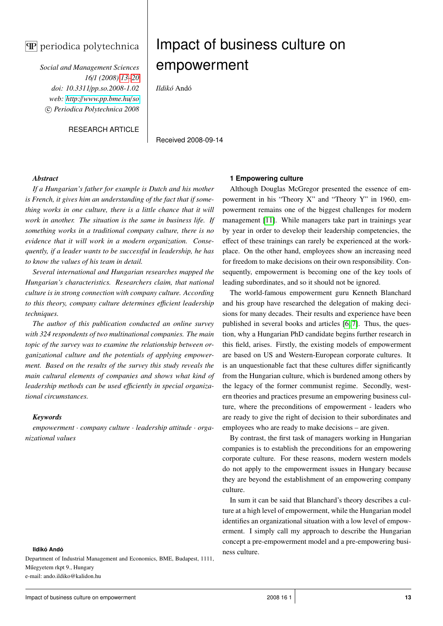# $\mathbf{\overline{P}}$  periodica polytechnica

*Social and Management Sciences 16*/*1 (2008) 13–20 doi: 10.3311*/*pp.so.2008-1.02 web: http:*//*[www.pp.bme.hu](http://www.pp.bme.hu/so)*/*so* c *Periodica Polytechnica 2008*

RESEARCH ARTICLE

Impact of business culture on empowerment

*Ildikó* Andó

Received 2008-09-14

### *Abstract*

*If a Hungarian's father for example is Dutch and his mother is French, it gives him an understanding of the fact that if something works in one culture, there is a little chance that it will work in another. The situation is the same in business life. If something works in a traditional company culture, there is no evidence that it will work in a modern organization. Consequently, if a leader wants to be successful in leadership, he has to know the values of his team in detail.*

*Several international and Hungarian researches mapped the Hungarian's characteristics. Researchers claim, that national culture is in strong connection with company culture. According to this theory, company culture determines e*ffi*cient leadership techniques.*

*The author of this publication conducted an online survey with 324 respondents of two multinational companies. The main topic of the survey was to examine the relationship between organizational culture and the potentials of applying empowerment. Based on the results of the survey this study reveals the main cultural elements of companies and shows what kind of leadership methods can be used e*ffi*ciently in special organizational circumstances.*

### *Keywords*

*empowerment* · *company culture* · *leadership attitude* · *organizational values*

#### **Ildikó Andó**

Department of Industrial Management and Economics, BME, Budapest, 1111, Műegyetem rkpt 9., Hungary e-mail: ando.ildiko@kalidon.hu

### **1 Empowering culture**

Although Douglas McGregor presented the essence of empowerment in his "Theory X" and "Theory Y" in 1960, empowerment remains one of the biggest challenges for modern management [\[11\]](#page-7-0). While managers take part in trainings year by year in order to develop their leadership competencies, the effect of these trainings can rarely be experienced at the workplace. On the other hand, employees show an increasing need for freedom to make decisions on their own responsibility. Consequently, empowerment is becoming one of the key tools of leading subordinates, and so it should not be ignored.

The world-famous empowerment guru Kenneth Blanchard and his group have researched the delegation of making decisions for many decades. Their results and experience have been published in several books and articles [\[6,](#page-7-1) [7\]](#page-7-2). Thus, the question, why a Hungarian PhD candidate begins further research in this field, arises. Firstly, the existing models of empowerment are based on US and Western-European corporate cultures. It is an unquestionable fact that these cultures differ significantly from the Hungarian culture, which is burdened among others by the legacy of the former communist regime. Secondly, western theories and practices presume an empowering business culture, where the preconditions of empowerment - leaders who are ready to give the right of decision to their subordinates and employees who are ready to make decisions – are given.

By contrast, the first task of managers working in Hungarian companies is to establish the preconditions for an empowering corporate culture. For these reasons, modern western models do not apply to the empowerment issues in Hungary because they are beyond the establishment of an empowering company culture.

In sum it can be said that Blanchard's theory describes a culture at a high level of empowerment, while the Hungarian model identifies an organizational situation with a low level of empowerment. I simply call my approach to describe the Hungarian concept a pre-empowerment model and a pre-empowering business culture.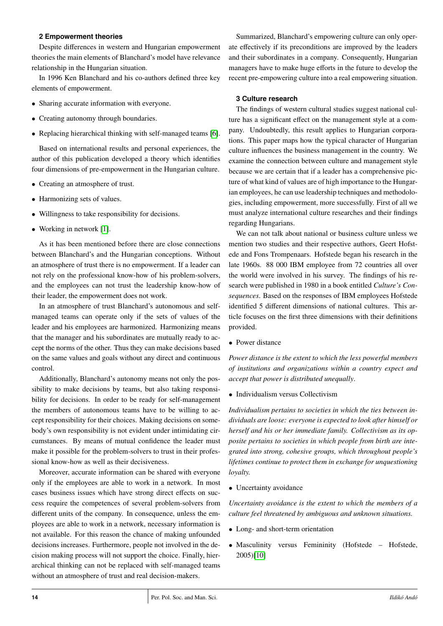### **2 Empowerment theories**

Despite differences in western and Hungarian empowerment theories the main elements of Blanchard's model have relevance relationship in the Hungarian situation.

In 1996 Ken Blanchard and his co-authors defined three key elements of empowerment.

- Sharing accurate information with everyone.
- Creating autonomy through boundaries.
- Replacing hierarchical thinking with self-managed teams [\[6\]](#page-7-1).

Based on international results and personal experiences, the author of this publication developed a theory which identifies four dimensions of pre-empowerment in the Hungarian culture.

- Creating an atmosphere of trust.
- Harmonizing sets of values.
- Willingness to take responsibility for decisions.
- Working in network [\[1\]](#page-7-3).

As it has been mentioned before there are close connections between Blanchard's and the Hungarian conceptions. Without an atmosphere of trust there is no empowerment. If a leader can not rely on the professional know-how of his problem-solvers, and the employees can not trust the leadership know-how of their leader, the empowerment does not work.

In an atmosphere of trust Blanchard's autonomous and selfmanaged teams can operate only if the sets of values of the leader and his employees are harmonized. Harmonizing means that the manager and his subordinates are mutually ready to accept the norms of the other. Thus they can make decisions based on the same values and goals without any direct and continuous control.

Additionally, Blanchard's autonomy means not only the possibility to make decisions by teams, but also taking responsibility for decisions. In order to be ready for self-management the members of autonomous teams have to be willing to accept responsibility for their choices. Making decisions on somebody's own responsibility is not evident under intimidating circumstances. By means of mutual confidence the leader must make it possible for the problem-solvers to trust in their professional know-how as well as their decisiveness.

Moreover, accurate information can be shared with everyone only if the employees are able to work in a network. In most cases business issues which have strong direct effects on success require the competences of several problem-solvers from different units of the company. In consequence, unless the employees are able to work in a network, necessary information is not available. For this reason the chance of making unfounded decisions increases. Furthermore, people not involved in the decision making process will not support the choice. Finally, hierarchical thinking can not be replaced with self-managed teams without an atmosphere of trust and real decision-makers.

Summarized, Blanchard's empowering culture can only operate effectively if its preconditions are improved by the leaders and their subordinates in a company. Consequently, Hungarian managers have to make huge efforts in the future to develop the recent pre-empowering culture into a real empowering situation.

### <span id="page-1-0"></span>**3 Culture research**

The findings of western cultural studies suggest national culture has a significant effect on the management style at a company. Undoubtedly, this result applies to Hungarian corporations. This paper maps how the typical character of Hungarian culture influences the business management in the country. We examine the connection between culture and management style because we are certain that if a leader has a comprehensive picture of what kind of values are of high importance to the Hungarian employees, he can use leadership techniques and methodologies, including empowerment, more successfully. First of all we must analyze international culture researches and their findings regarding Hungarians.

We can not talk about national or business culture unless we mention two studies and their respective authors, Geert Hofstede and Fons Trompenaars. Hofstede began his research in the late 1960s. 88 000 IBM employee from 72 countries all over the world were involved in his survey. The findings of his research were published in 1980 in a book entitled *Culture's Consequences*. Based on the responses of IBM employees Hofstede identified 5 different dimensions of national cultures. This article focuses on the first three dimensions with their definitions provided.

• Power distance

*Power distance is the extent to which the less powerful members of institutions and organizations within a country expect and accept that power is distributed unequally*.

• Individualism versus Collectivism

*Individualism pertains to societies in which the ties between individuals are loose: everyone is expected to look after himself or herself and his or her immediate family. Collectivism as its opposite pertains to societies in which people from birth are integrated into strong, cohesive groups, which throughout people's lifetimes continue to protect them in exchange for unquestioning loyalty.*

• Uncertainty avoidance

*Uncertainty avoidance is the extent to which the members of a culture feel threatened by ambiguous and unknown situations.*

- Long- and short-term orientation
- Masculinity versus Femininity (Hofstede Hofstede, 2005)[\[10\]](#page-7-4)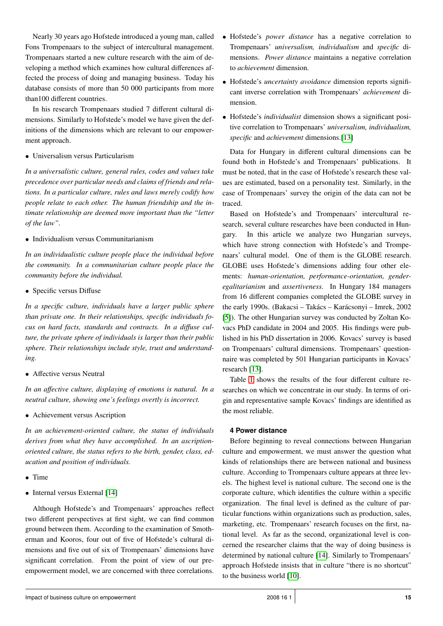Nearly 30 years ago Hofstede introduced a young man, called Fons Trompenaars to the subject of intercultural management. Trompenaars started a new culture research with the aim of developing a method which examines how cultural differences affected the process of doing and managing business. Today his database consists of more than 50 000 participants from more than100 different countries.

In his research Trompenaars studied 7 different cultural dimensions. Similarly to Hofstede's model we have given the definitions of the dimensions which are relevant to our empowerment approach.

• Universalism versus Particularism

*In a universalistic culture, general rules, codes and values take precedence over particular needs and claims of friends and relations. In a particular culture, rules and laws merely codify how people relate to each other. The human friendship and the intimate relationship are deemed more important than the "letter of the law".*

• Individualism versus Communitarianism

*In an individualistic culture people place the individual before the community. In a communitarian culture people place the community before the individual.*

• Specific versus Diffuse

*In a specific culture, individuals have a larger public sphere than private one. In their relationships, specific individuals focus on hard facts, standards and contracts. In a di*ff*use culture, the private sphere of individuals is larger than their public sphere. Their relationships include style, trust and understanding.*

• Affective versus Neutral

*In an a*ff*ective culture, displaying of emotions is natural. In a neutral culture, showing one's feelings overtly is incorrect.*

• Achievement versus Ascription

*In an achievement-oriented culture, the status of individuals derives from what they have accomplished. In an ascriptionoriented culture, the status refers to the birth, gender, class, education and position of individuals.*

- Time
- Internal versus External [\[14\]](#page-7-5)

Although Hofstede's and Trompenaars' approaches reflect two different perspectives at first sight, we can find common ground between them. According to the examination of Smotherman and Kooros, four out of five of Hofstede's cultural dimensions and five out of six of Trompenaars' dimensions have significant correlation. From the point of view of our preempowerment model, we are concerned with three correlations.

- Hofstede's *power distance* has a negative correlation to Trompenaars' *universalism, individualism* and *specific* dimensions. *Power distance* maintains a negative correlation to *achievement* dimension.
- Hofstede's *uncertainty avoidance* dimension reports significant inverse correlation with Trompenaars' *achievement* dimension.
- Hofstede's *individualist* dimension shows a significant positive correlation to Trompenaars' *universalism, individualism, specific* and *achievement* dimensions.[\[13\]](#page-7-6)

Data for Hungary in different cultural dimensions can be found both in Hofstede's and Trompenaars' publications. It must be noted, that in the case of Hofstede's research these values are estimated, based on a personality test. Similarly, in the case of Trompenaars' survey the origin of the data can not be traced.

Based on Hofstede's and Trompenaars' intercultural research, several culture researches have been conducted in Hungary. In this article we analyze two Hungarian surveys, which have strong connection with Hofstede's and Trompenaars' cultural model. One of them is the GLOBE research. GLOBE uses Hofstede's dimensions adding four other elements: *human-orientation, performance-orientation, genderegalitarianism* and *assertiveness*. In Hungary 184 managers from 16 different companies completed the GLOBE survey in the early 1990s. (Bakacsi – Takács – Karácsonyi – Imrek, 2002 [\[5\]](#page-7-7)). The other Hungarian survey was conducted by Zoltan Kovacs PhD candidate in 2004 and 2005. His findings were published in his PhD dissertation in 2006. Kovacs' survey is based on Trompenaars' cultural dimensions. Trompenaars' questionnaire was completed by 501 Hungarian participants in Kovacs' research [\[13\]](#page-7-6).

Table [1](#page-1-0) shows the results of the four different culture researches on which we concentrate in our study. In terms of origin and representative sample Kovacs' findings are identified as the most reliable.

## **4 Power distance**

Before beginning to reveal connections between Hungarian culture and empowerment, we must answer the question what kinds of relationships there are between national and business culture. According to Trompenaars culture appears at three levels. The highest level is national culture. The second one is the corporate culture, which identifies the culture within a specific organization. The final level is defined as the culture of particular functions within organizations such as production, sales, marketing, etc. Trompenaars' research focuses on the first, national level. As far as the second, organizational level is concerned the researcher claims that the way of doing business is determined by national culture [\[14\]](#page-7-5). Similarly to Trompenaars' approach Hofstede insists that in culture "there is no shortcut" to the business world [\[10\]](#page-7-4).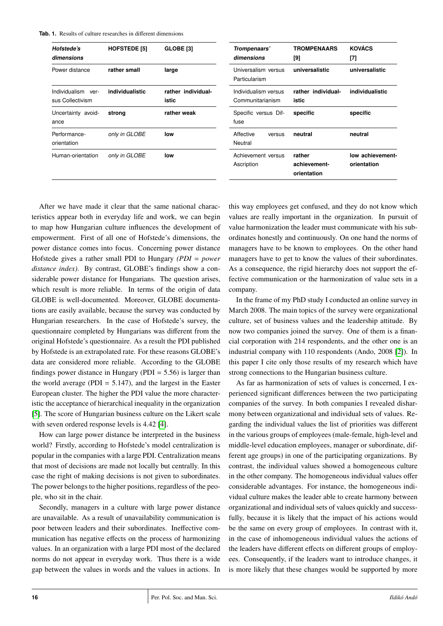**Tab. 1.** Results of culture researches in different dimensions

| Hofstede's<br>dimensions                  | <b>HOFSTEDE [5]</b> | GLOBE [3]                   | Trompenaars'<br>dimensions               | <b>TROMPENAARS</b><br>[9]             | <b>KOVÁCS</b><br>$^{[7]}$       |  |
|-------------------------------------------|---------------------|-----------------------------|------------------------------------------|---------------------------------------|---------------------------------|--|
| Power distance                            | rather small        | large                       | Universalism versus<br>Particularism     | universalistic                        | universalistic                  |  |
| Individualism<br>ver-<br>sus Collectivism | individualistic     | rather individual-<br>istic | Individualism versus<br>Communitarianism | rather individual-<br>istic           | individualistic                 |  |
| Uncertainty avoid-<br>ance                | strong              | rather weak                 | Specific versus Dif-<br>fuse             | specific                              | specific                        |  |
| Performance-<br>orientation               | only in GLOBE       | low                         | Affective<br>versus<br>Neutral           | neutral                               | neutral                         |  |
| Human-orientation                         | only in GLOBE       | low                         | Achievement versus<br>Ascription         | rather<br>achievement-<br>orientation | low achievement-<br>orientation |  |

After we have made it clear that the same national characteristics appear both in everyday life and work, we can begin to map how Hungarian culture influences the development of empowerment. First of all one of Hofstede's dimensions, the power distance comes into focus. Concerning power distance Hofstede gives a rather small PDI to Hungary *(PDI* = *power distance index)*. By contrast, GLOBE's findings show a considerable power distance for Hungarians. The question arises, which result is more reliable. In terms of the origin of data GLOBE is well-documented. Moreover, GLOBE documentations are easily available, because the survey was conducted by Hungarian researchers. In the case of Hofstede's survey, the questionnaire completed by Hungarians was different from the original Hofstede's questionnaire. As a result the PDI published by Hofstede is an extrapolated rate. For these reasons GLOBE's data are considered more reliable. According to the GLOBE findings power distance in Hungary (PDI  $= 5.56$ ) is larger than the world average (PDI  $= 5.147$ ), and the largest in the Easter European cluster. The higher the PDI value the more characteristic the acceptance of hierarchical inequality in the organization [\[5\]](#page-7-7). The score of Hungarian business culture on the Likert scale with seven ordered response levels is 4.42 [\[4\]](#page-7-8).

How can large power distance be interpreted in the business world? Firstly, according to Hofstede's model centralization is popular in the companies with a large PDI. Centralization means that most of decisions are made not locally but centrally. In this case the right of making decisions is not given to subordinates. The power belongs to the higher positions, regardless of the people, who sit in the chair.

Secondly, managers in a culture with large power distance are unavailable. As a result of unavailability communication is poor between leaders and their subordinates. Ineffective communication has negative effects on the process of harmonizing values. In an organization with a large PDI most of the declared norms do not appear in everyday work. Thus there is a wide gap between the values in words and the values in actions. In

this way employees get confused, and they do not know which values are really important in the organization. In pursuit of value harmonization the leader must communicate with his subordinates honestly and continuously. On one hand the norms of managers have to be known to employees. On the other hand managers have to get to know the values of their subordinates. As a consequence, the rigid hierarchy does not support the effective communication or the harmonization of value sets in a company.

In the frame of my PhD study I conducted an online survey in March 2008. The main topics of the survey were organizational culture, set of business values and the leadership attitude. By now two companies joined the survey. One of them is a financial corporation with 214 respondents, and the other one is an industrial company with 110 respondents (Ando, 2008 [\[2\]](#page-7-9)). In this paper I cite only those results of my research which have strong connections to the Hungarian business culture.

As far as harmonization of sets of values is concerned, I experienced significant differences between the two participating companies of the survey. In both companies I revealed disharmony between organizational and individual sets of values. Regarding the individual values the list of priorities was different in the various groups of employees (male-female, high-level and middle-level education employees, manager or subordinate, different age groups) in one of the participating organizations. By contrast, the individual values showed a homogeneous culture in the other company. The homogeneous individual values offer considerable advantages. For instance, the homogeneous individual culture makes the leader able to create harmony between organizational and individual sets of values quickly and successfully, because it is likely that the impact of his actions would be the same on every group of employees. In contrast with it, in the case of inhomogeneous individual values the actions of the leaders have different effects on different groups of employees. Consequently, if the leaders want to introduce changes, it is more likely that these changes would be supported by more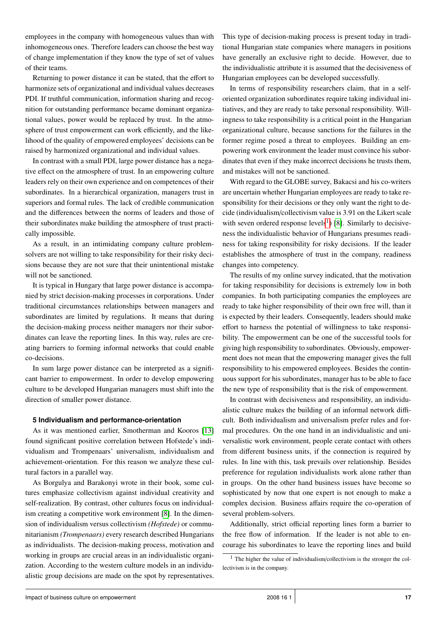employees in the company with homogeneous values than with inhomogeneous ones. Therefore leaders can choose the best way of change implementation if they know the type of set of values of their teams.

Returning to power distance it can be stated, that the effort to harmonize sets of organizational and individual values decreases PDI. If truthful communication, information sharing and recognition for outstanding performance became dominant organizational values, power would be replaced by trust. In the atmosphere of trust empowerment can work efficiently, and the likelihood of the quality of empowered employees' decisions can be raised by harmonized organizational and individual values.

In contrast with a small PDI, large power distance has a negative effect on the atmosphere of trust. In an empowering culture leaders rely on their own experience and on competences of their subordinates. In a hierarchical organization, managers trust in superiors and formal rules. The lack of credible communication and the differences between the norms of leaders and those of their subordinates make building the atmosphere of trust practically impossible.

As a result, in an intimidating company culture problemsolvers are not willing to take responsibility for their risky decisions because they are not sure that their unintentional mistake will not be sanctioned.

It is typical in Hungary that large power distance is accompanied by strict decision-making processes in corporations. Under traditional circumstances relationships between managers and subordinates are limited by regulations. It means that during the decision-making process neither managers nor their subordinates can leave the reporting lines. In this way, rules are creating barriers to forming informal networks that could enable co-decisions.

In sum large power distance can be interpreted as a significant barrier to empowerment. In order to develop empowering culture to be developed Hungarian managers must shift into the direction of smaller power distance.

### **5 Individualism and performance-orientation**

As it was mentioned earlier, Smotherman and Kooros [\[13\]](#page-7-6) found significant positive correlation between Hofstede's individualism and Trompenaars' universalism, individualism and achievement-orientation. For this reason we analyze these cultural factors in a parallel way.

As Borgulya and Barakonyi wrote in their book, some cultures emphasize collectivism against individual creativity and self-realization. By contrast, other cultures focus on individualism creating a competitive work environment [\[8\]](#page-7-10). In the dimension of individualism versus collectivism *(Hofstede)* or communitarianism *(Trompenaars)* every research described Hungarians as individualists. The decision-making process, motivation and working in groups are crucial areas in an individualistic organization. According to the western culture models in an individualistic group decisions are made on the spot by representatives.

This type of decision-making process is present today in traditional Hungarian state companies where managers in positions have generally an exclusive right to decide. However, due to the individualistic attribute it is assumed that the decisiveness of Hungarian employees can be developed successfully.

In terms of responsibility researchers claim, that in a selforiented organization subordinates require taking individual initiatives, and they are ready to take personal responsibility. Willingness to take responsibility is a critical point in the Hungarian organizational culture, because sanctions for the failures in the former regime posed a threat to employees. Building an empowering work environment the leader must convince his subordinates that even if they make incorrect decisions he trusts them, and mistakes will not be sanctioned.

With regard to the GLOBE survey, Bakacsi and his co-writers are uncertain whether Hungarian employees are ready to take responsibility for their decisions or they only want the right to decide (individualism/collectivism value is 3.91 on the Likert scale with seven ordered response levels<sup>[1](#page-4-0)</sup>) [\[8\]](#page-7-10). Similarly to decisiveness the individualistic behavior of Hungarians presumes readiness for taking responsibility for risky decisions. If the leader establishes the atmosphere of trust in the company, readiness changes into competency.

The results of my online survey indicated, that the motivation for taking responsibility for decisions is extremely low in both companies. In both participating companies the employees are ready to take higher responsibility of their own free will, than it is expected by their leaders. Consequently, leaders should make effort to harness the potential of willingness to take responsibility. The empowerment can be one of the successful tools for giving high responsibility to subordinates. Obviously, empowerment does not mean that the empowering manager gives the full responsibility to his empowered employees. Besides the continuous support for his subordinates, manager has to be able to face the new type of responsibility that is the risk of empowerment.

In contrast with decisiveness and responsibility, an individualistic culture makes the building of an informal network difficult. Both individualism and universalism prefer rules and formal procedures. On the one hand in an individualistic and universalistic work environment, people cerate contact with others from different business units, if the connection is required by rules. In line with this, task prevails over relationship. Besides preference for regulation individualists work alone rather than in groups. On the other hand business issues have become so sophisticated by now that one expert is not enough to make a complex decision. Business affairs require the co-operation of several problem-solvers.

Additionally, strict official reporting lines form a barrier to the free flow of information. If the leader is not able to encourage his subordinates to leave the reporting lines and build

<span id="page-4-0"></span> $<sup>1</sup>$  The higher the value of individualism/collectivism is the stronger the col-</sup> lectivism is in the company.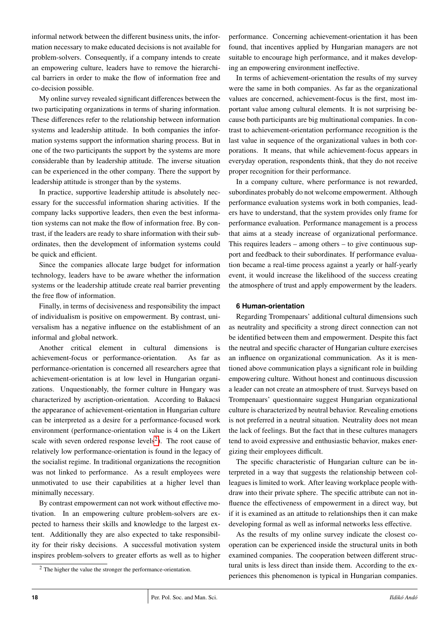informal network between the different business units, the information necessary to make educated decisions is not available for problem-solvers. Consequently, if a company intends to create an empowering culture, leaders have to remove the hierarchical barriers in order to make the flow of information free and co-decision possible.

My online survey revealed significant differences between the two participating organizations in terms of sharing information. These differences refer to the relationship between information systems and leadership attitude. In both companies the information systems support the information sharing process. But in one of the two participants the support by the systems are more considerable than by leadership attitude. The inverse situation can be experienced in the other company. There the support by leadership attitude is stronger than by the systems.

In practice, supportive leadership attitude is absolutely necessary for the successful information sharing activities. If the company lacks supportive leaders, then even the best information systems can not make the flow of information free. By contrast, if the leaders are ready to share information with their subordinates, then the development of information systems could be quick and efficient.

Since the companies allocate large budget for information technology, leaders have to be aware whether the information systems or the leadership attitude create real barrier preventing the free flow of information.

Finally, in terms of decisiveness and responsibility the impact of individualism is positive on empowerment. By contrast, universalism has a negative influence on the establishment of an informal and global network.

Another critical element in cultural dimensions is achievement-focus or performance-orientation. As far as performance-orientation is concerned all researchers agree that achievement-orientation is at low level in Hungarian organizations. Unquestionably, the former culture in Hungary was characterized by ascription-orientation. According to Bakacsi the appearance of achievement-orientation in Hungarian culture can be interpreted as a desire for a performance-focused work environment (performance-orientation value is 4 on the Likert scale with seven ordered response levels<sup>[2](#page-5-0)</sup>). The root cause of relatively low performance-orientation is found in the legacy of the socialist regime. In traditional organizations the recognition was not linked to performance. As a result employees were unmotivated to use their capabilities at a higher level than minimally necessary.

By contrast empowerment can not work without effective motivation. In an empowering culture problem-solvers are expected to harness their skills and knowledge to the largest extent. Additionally they are also expected to take responsibility for their risky decisions. A successful motivation system inspires problem-solvers to greater efforts as well as to higher performance. Concerning achievement-orientation it has been found, that incentives applied by Hungarian managers are not suitable to encourage high performance, and it makes developing an empowering environment ineffective.

In terms of achievement-orientation the results of my survey were the same in both companies. As far as the organizational values are concerned, achievement-focus is the first, most important value among cultural elements. It is not surprising because both participants are big multinational companies. In contrast to achievement-orientation performance recognition is the last value in sequence of the organizational values in both corporations. It means, that while achievement-focus appears in everyday operation, respondents think, that they do not receive proper recognition for their performance.

In a company culture, where performance is not rewarded, subordinates probably do not welcome empowerment. Although performance evaluation systems work in both companies, leaders have to understand, that the system provides only frame for performance evaluation. Performance management is a process that aims at a steady increase of organizational performance. This requires leaders – among others – to give continuous support and feedback to their subordinates. If performance evaluation became a real-time process against a yearly or half-yearly event, it would increase the likelihood of the success creating the atmosphere of trust and apply empowerment by the leaders.

### **6 Human-orientation**

Regarding Trompenaars' additional cultural dimensions such as neutrality and specificity a strong direct connection can not be identified between them and empowerment. Despite this fact the neutral and specific character of Hungarian culture exercises an influence on organizational communication. As it is mentioned above communication plays a significant role in building empowering culture. Without honest and continuous discussion a leader can not create an atmosphere of trust. Surveys based on Trompenaars' questionnaire suggest Hungarian organizational culture is characterized by neutral behavior. Revealing emotions is not preferred in a neutral situation. Neutrality does not mean the lack of feelings. But the fact that in these cultures managers tend to avoid expressive and enthusiastic behavior, makes energizing their employees difficult.

The specific characteristic of Hungarian culture can be interpreted in a way that suggests the relationship between colleagues is limited to work. After leaving workplace people withdraw into their private sphere. The specific attribute can not influence the effectiveness of empowerment in a direct way, but if it is examined as an attitude to relationships then it can make developing formal as well as informal networks less effective.

As the results of my online survey indicate the closest cooperation can be experienced inside the structural units in both examined companies. The cooperation between different structural units is less direct than inside them. According to the experiences this phenomenon is typical in Hungarian companies.

<span id="page-5-0"></span><sup>2</sup> The higher the value the stronger the performance-orientation.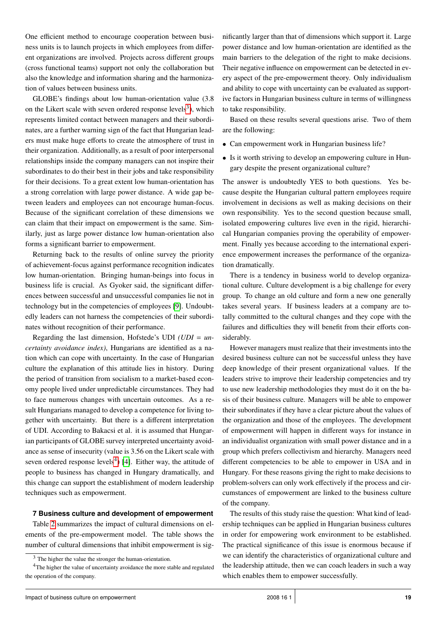One efficient method to encourage cooperation between business units is to launch projects in which employees from different organizations are involved. Projects across different groups (cross functional teams) support not only the collaboration but also the knowledge and information sharing and the harmonization of values between business units.

GLOBE's findings about low human-orientation value (3.8 on the Likert scale with seven ordered response levels<sup>[3](#page-6-0)</sup>), which represents limited contact between managers and their subordinates, are a further warning sign of the fact that Hungarian leaders must make huge efforts to create the atmosphere of trust in their organization. Additionally, as a result of poor interpersonal relationships inside the company managers can not inspire their subordinates to do their best in their jobs and take responsibility for their decisions. To a great extent low human-orientation has a strong correlation with large power distance. A wide gap between leaders and employees can not encourage human-focus. Because of the significant correlation of these dimensions we can claim that their impact on empowerment is the same. Similarly, just as large power distance low human-orientation also forms a significant barrier to empowerment.

Returning back to the results of online survey the priority of achievement-focus against performance recognition indicates low human-orientation. Bringing human-beings into focus in business life is crucial. As Gyoker said, the significant differences between successful and unsuccessful companies lie not in technology but in the competencies of employees [\[9\]](#page-7-11). Undoubtedly leaders can not harness the competencies of their subordinates without recognition of their performance.

Regarding the last dimension, Hofstede's UDI *(UDI* = *uncertainty avoidance index)*, Hungarians are identified as a nation which can cope with uncertainty. In the case of Hungarian culture the explanation of this attitude lies in history. During the period of transition from socialism to a market-based economy people lived under unpredictable circumstances. They had to face numerous changes with uncertain outcomes. As a result Hungarians managed to develop a competence for living together with uncertainty. But there is a different interpretation of UDI. According to Bakacsi et al. it is assumed that Hungarian participants of GLOBE survey interpreted uncertainty avoidance as sense of insecurity (value is 3.56 on the Likert scale with seven ordered response levels<sup>[4](#page-6-1)</sup>) [\[4\]](#page-7-8). Either way, the attitude of people to business has changed in Hungary dramatically, and this change can support the establishment of modern leadership techniques such as empowerment.

### <span id="page-6-2"></span>**7 Business culture and development of empowerment**

Table [2](#page-6-2) summarizes the impact of cultural dimensions on elements of the pre-empowerment model. The table shows the number of cultural dimensions that inhibit empowerment is significantly larger than that of dimensions which support it. Large power distance and low human-orientation are identified as the main barriers to the delegation of the right to make decisions. Their negative influence on empowerment can be detected in every aspect of the pre-empowerment theory. Only individualism and ability to cope with uncertainty can be evaluated as supportive factors in Hungarian business culture in terms of willingness to take responsibility.

Based on these results several questions arise. Two of them are the following:

- Can empowerment work in Hungarian business life?
- Is it worth striving to develop an empowering culture in Hungary despite the present organizational culture?

The answer is undoubtedly YES to both questions. Yes because despite the Hungarian cultural pattern employees require involvement in decisions as well as making decisions on their own responsibility. Yes to the second question because small, isolated empowering cultures live even in the rigid, hierarchical Hungarian companies proving the operability of empowerment. Finally yes because according to the international experience empowerment increases the performance of the organization dramatically.

There is a tendency in business world to develop organizational culture. Culture development is a big challenge for every group. To change an old culture and form a new one generally takes several years. If business leaders at a company are totally committed to the cultural changes and they cope with the failures and difficulties they will benefit from their efforts considerably.

However managers must realize that their investments into the desired business culture can not be successful unless they have deep knowledge of their present organizational values. If the leaders strive to improve their leadership competencies and try to use new leadership methodologies they must do it on the basis of their business culture. Managers will be able to empower their subordinates if they have a clear picture about the values of the organization and those of the employees. The development of empowerment will happen in different ways for instance in an individualist organization with small power distance and in a group which prefers collectivism and hierarchy. Managers need different competencies to be able to empower in USA and in Hungary. For these reasons giving the right to make decisions to problem-solvers can only work effectively if the process and circumstances of empowerment are linked to the business culture of the company.

The results of this study raise the question: What kind of leadership techniques can be applied in Hungarian business cultures in order for empowering work environment to be established. The practical significance of this issue is enormous because if we can identify the characteristics of organizational culture and the leadership attitude, then we can coach leaders in such a way which enables them to empower successfully.

<span id="page-6-1"></span><span id="page-6-0"></span><sup>&</sup>lt;sup>3</sup> The higher the value the stronger the human-orientation.

<sup>4</sup>The higher the value of uncertainty avoidance the more stable and regulated the operation of the company.